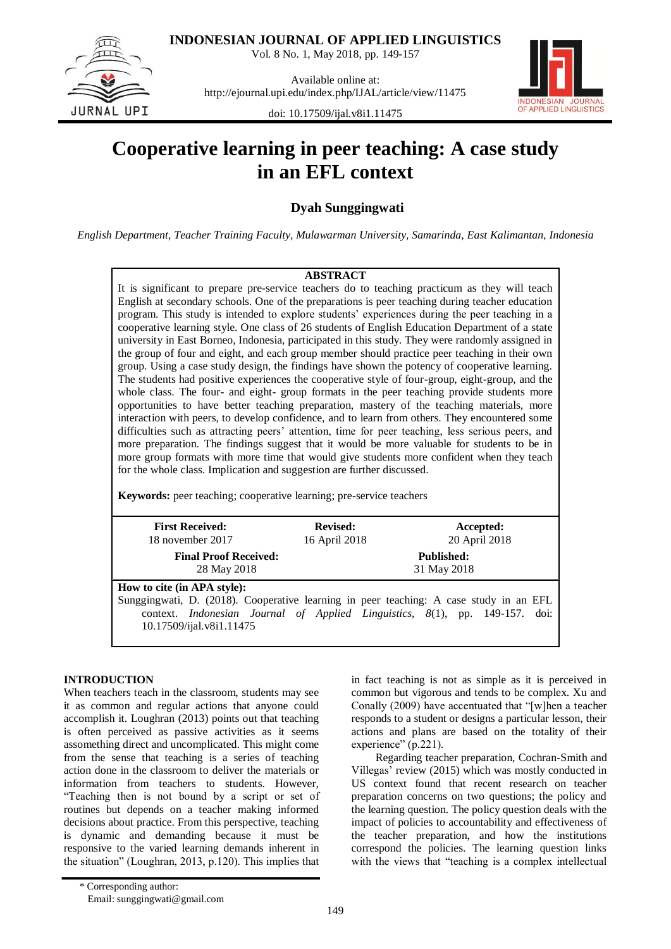**INDONESIAN JOURNAL OF APPLIED LINGUISTICS**

Vol. 8 No. 1, May 2018, pp. 149-157

JURNAL UPI

Available online at: http://ejournal.upi.edu/index.php/IJAL/article/view/11475



doi: 10.17509/ijal.v8i1.11475

# **Cooperative learning in peer teaching: A case study in an EFL context**

**Dyah Sunggingwati**

*English Department, Teacher Training Faculty, Mulawarman University, Samarinda, East Kalimantan, Indonesia*

## **ABSTRACT**

It is significant to prepare pre-service teachers do to teaching practicum as they will teach English at secondary schools. One of the preparations is peer teaching during teacher education program. This study is intended to explore students' experiences during the peer teaching in a cooperative learning style. One class of 26 students of English Education Department of a state university in East Borneo, Indonesia, participated in this study. They were randomly assigned in the group of four and eight, and each group member should practice peer teaching in their own group. Using a case study design, the findings have shown the potency of cooperative learning. The students had positive experiences the cooperative style of four-group, eight-group, and the whole class. The four- and eight- group formats in the peer teaching provide students more opportunities to have better teaching preparation, mastery of the teaching materials, more interaction with peers, to develop confidence, and to learn from others. They encountered some difficulties such as attracting peers' attention, time for peer teaching, less serious peers, and more preparation. The findings suggest that it would be more valuable for students to be in more group formats with more time that would give students more confident when they teach for the whole class. Implication and suggestion are further discussed.

**Keywords:** peer teaching; cooperative learning; pre-service teachers

| <b>First Received:</b><br>18 november 2017                                                                                                                                                                                               | <b>Revised:</b><br>16 April 2018 | Accepted:<br>20 April 2018       |
|------------------------------------------------------------------------------------------------------------------------------------------------------------------------------------------------------------------------------------------|----------------------------------|----------------------------------|
| <b>Final Proof Received:</b><br>28 May 2018                                                                                                                                                                                              |                                  | <b>Published:</b><br>31 May 2018 |
| How to cite (in APA style):<br>Sunggingwati, D. (2018). Cooperative learning in peer teaching: A case study in an EFL<br>context. <i>Indonesian Journal of Applied Linguistics</i> , 8(1), pp. 149-157. doi:<br>10.17509/ijal.v8i1.11475 |                                  |                                  |

## **INTRODUCTION**

When teachers teach in the classroom, students may see it as common and regular actions that anyone could accomplish it. Loughran (2013) points out that teaching is often perceived as passive activities as it seems assomething direct and uncomplicated. This might come from the sense that teaching is a series of teaching action done in the classroom to deliver the materials or information from teachers to students. However, "Teaching then is not bound by a script or set of routines but depends on a teacher making informed decisions about practice. From this perspective, teaching is dynamic and demanding because it must be responsive to the varied learning demands inherent in the situation" (Loughran, 2013, p.120). This implies that

common but vigorous and tends to be complex. Xu and Conally (2009) have accentuated that "[w]hen a teacher responds to a student or designs a particular lesson, their actions and plans are based on the totality of their experience" (p.221). Regarding teacher preparation, Cochran-Smith and

Villegas" review (2015) which was mostly conducted in US context found that recent research on teacher preparation concerns on two questions; the policy and the learning question. The policy question deals with the impact of policies to accountability and effectiveness of the teacher preparation, and how the institutions correspond the policies. The learning question links with the views that "teaching is a complex intellectual

in fact teaching is not as simple as it is perceived in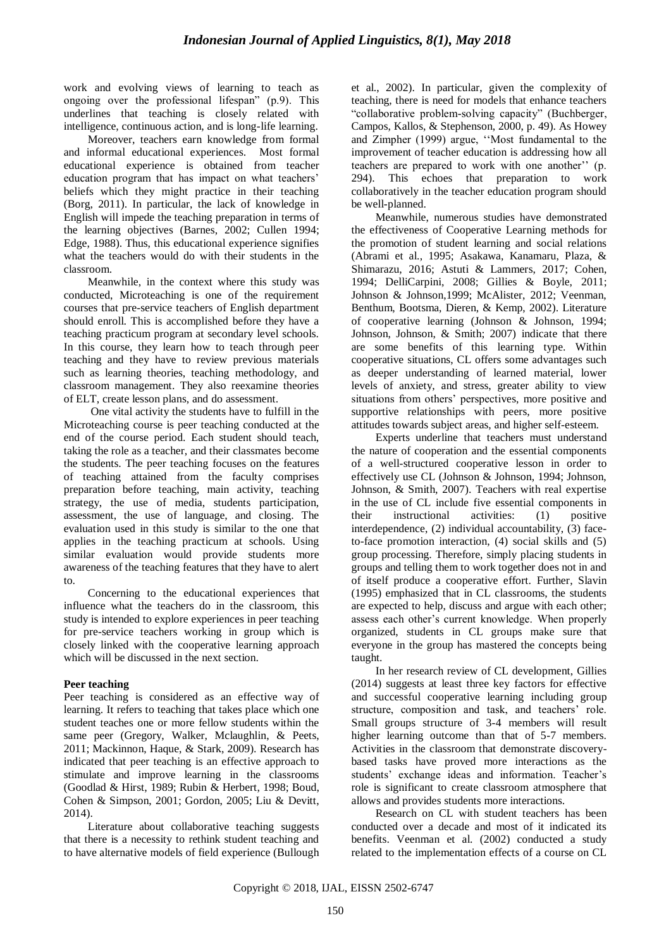work and evolving views of learning to teach as ongoing over the professional lifespan" (p.9). This underlines that teaching is closely related with intelligence, continuous action, and is long-life learning.

Moreover, teachers earn knowledge from formal and informal educational experiences. Most formal educational experience is obtained from teacher education program that has impact on what teachers' beliefs which they might practice in their teaching (Borg, 2011). In particular, the lack of knowledge in English will impede the teaching preparation in terms of the learning objectives (Barnes, 2002; Cullen 1994; Edge, 1988). Thus, this educational experience signifies what the teachers would do with their students in the classroom.

Meanwhile, in the context where this study was conducted, Microteaching is one of the requirement courses that pre-service teachers of English department should enroll. This is accomplished before they have a teaching practicum program at secondary level schools. In this course, they learn how to teach through peer teaching and they have to review previous materials such as learning theories, teaching methodology, and classroom management. They also reexamine theories of ELT, create lesson plans, and do assessment.

One vital activity the students have to fulfill in the Microteaching course is peer teaching conducted at the end of the course period. Each student should teach, taking the role as a teacher, and their classmates become the students. The peer teaching focuses on the features of teaching attained from the faculty comprises preparation before teaching, main activity, teaching strategy, the use of media, students participation, assessment, the use of language, and closing. The evaluation used in this study is similar to the one that applies in the teaching practicum at schools. Using similar evaluation would provide students more awareness of the teaching features that they have to alert to.

Concerning to the educational experiences that influence what the teachers do in the classroom, this study is intended to explore experiences in peer teaching for pre-service teachers working in group which is closely linked with the cooperative learning approach which will be discussed in the next section.

## **Peer teaching**

Peer teaching is considered as an effective way of learning. It refers to teaching that takes place which one student teaches one or more fellow students within the same peer (Gregory, Walker, Mclaughlin, & Peets, 2011; Mackinnon, Haque, & Stark, 2009). Research has indicated that peer teaching is an effective approach to stimulate and improve learning in the classrooms (Goodlad & Hirst, 1989; Rubin & Herbert, 1998; Boud, Cohen & Simpson, 2001; Gordon, 2005; Liu & Devitt, 2014).

Literature about collaborative teaching suggests that there is a necessity to rethink student teaching and to have alternative models of field experience (Bullough et al., 2002). In particular, given the complexity of teaching, there is need for models that enhance teachers "collaborative problem-solving capacity" (Buchberger, Campos, Kallos, & Stephenson, 2000, p. 49). As Howey and Zimpher (1999) argue, ""Most fundamental to the improvement of teacher education is addressing how all teachers are prepared to work with one another" (p. 294). This echoes that preparation to work collaboratively in the teacher education program should be well-planned.

Meanwhile, numerous studies have demonstrated the effectiveness of Cooperative Learning methods for the promotion of student learning and social relations (Abrami et al., 1995; Asakawa, Kanamaru, Plaza, & Shimarazu, 2016; Astuti & Lammers, 2017; Cohen, 1994; DelliCarpini, 2008; Gillies & Boyle, 2011; Johnson & Johnson,1999; McAlister, 2012; Veenman, Benthum, Bootsma, Dieren, & Kemp, 2002). Literature of cooperative learning (Johnson & Johnson, 1994; Johnson, Johnson, & Smith; 2007) indicate that there are some benefits of this learning type. Within cooperative situations, CL offers some advantages such as deeper understanding of learned material, lower levels of anxiety, and stress, greater ability to view situations from others" perspectives, more positive and supportive relationships with peers, more positive attitudes towards subject areas, and higher self-esteem.

Experts underline that teachers must understand the nature of cooperation and the essential components of a well-structured cooperative lesson in order to effectively use CL (Johnson & Johnson, 1994; Johnson, Johnson, & Smith, 2007). Teachers with real expertise in the use of CL include five essential components in their instructional activities: (1) positive interdependence, (2) individual accountability, (3) faceto-face promotion interaction, (4) social skills and (5) group processing. Therefore, simply placing students in groups and telling them to work together does not in and of itself produce a cooperative effort. Further, Slavin (1995) emphasized that in CL classrooms, the students are expected to help, discuss and argue with each other; assess each other"s current knowledge. When properly organized, students in CL groups make sure that everyone in the group has mastered the concepts being taught.

In her research review of CL development, Gillies (2014) suggests at least three key factors for effective and successful cooperative learning including group structure, composition and task, and teachers' role. Small groups structure of 3-4 members will result higher learning outcome than that of 5-7 members. Activities in the classroom that demonstrate discoverybased tasks have proved more interactions as the students' exchange ideas and information. Teacher's role is significant to create classroom atmosphere that allows and provides students more interactions.

Research on CL with student teachers has been conducted over a decade and most of it indicated its benefits. Veenman et al. (2002) conducted a study related to the implementation effects of a course on CL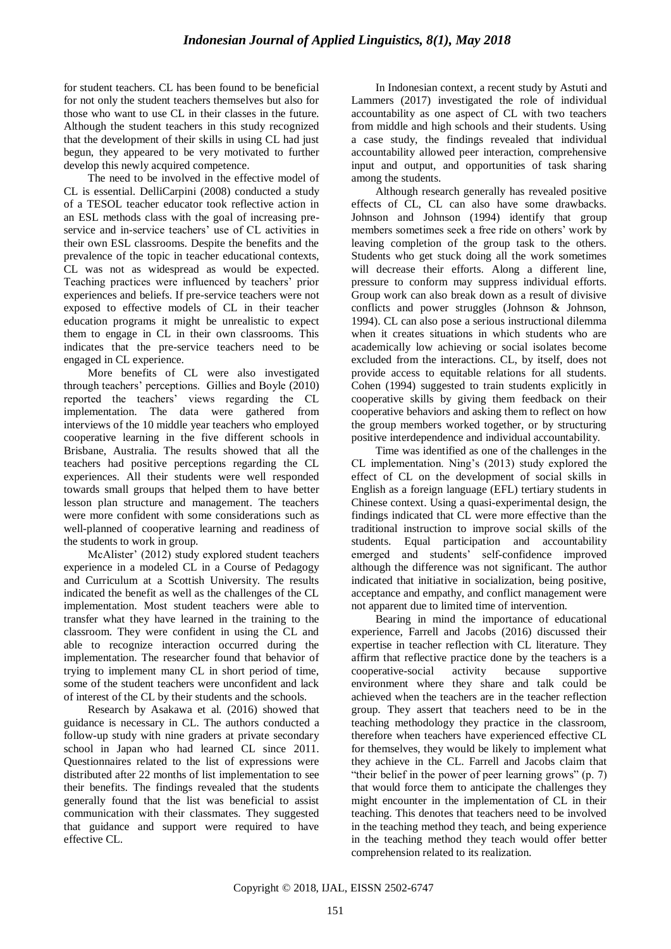for student teachers. CL has been found to be beneficial for not only the student teachers themselves but also for those who want to use CL in their classes in the future. Although the student teachers in this study recognized that the development of their skills in using CL had just begun, they appeared to be very motivated to further develop this newly acquired competence.

The need to be involved in the effective model of CL is essential. DelliCarpini (2008) conducted a study of a TESOL teacher educator took reflective action in an ESL methods class with the goal of increasing preservice and in-service teachers' use of CL activities in their own ESL classrooms. Despite the benefits and the prevalence of the topic in teacher educational contexts, CL was not as widespread as would be expected. Teaching practices were influenced by teachers' prior experiences and beliefs. If pre-service teachers were not exposed to effective models of CL in their teacher education programs it might be unrealistic to expect them to engage in CL in their own classrooms. This indicates that the pre-service teachers need to be engaged in CL experience.

More benefits of CL were also investigated through teachers" perceptions. Gillies and Boyle (2010) reported the teachers" views regarding the CL implementation. The data were gathered from interviews of the 10 middle year teachers who employed cooperative learning in the five different schools in Brisbane, Australia. The results showed that all the teachers had positive perceptions regarding the CL experiences. All their students were well responded towards small groups that helped them to have better lesson plan structure and management. The teachers were more confident with some considerations such as well-planned of cooperative learning and readiness of the students to work in group.

McAlister' (2012) study explored student teachers experience in a modeled CL in a Course of Pedagogy and Curriculum at a Scottish University. The results indicated the benefit as well as the challenges of the CL implementation. Most student teachers were able to transfer what they have learned in the training to the classroom. They were confident in using the CL and able to recognize interaction occurred during the implementation. The researcher found that behavior of trying to implement many CL in short period of time, some of the student teachers were unconfident and lack of interest of the CL by their students and the schools.

Research by Asakawa et al. (2016) showed that guidance is necessary in CL. The authors conducted a follow-up study with nine graders at private secondary school in Japan who had learned CL since 2011. Questionnaires related to the list of expressions were distributed after 22 months of list implementation to see their benefits. The findings revealed that the students generally found that the list was beneficial to assist communication with their classmates. They suggested that guidance and support were required to have effective CL.

In Indonesian context, a recent study by Astuti and Lammers (2017) investigated the role of individual accountability as one aspect of CL with two teachers from middle and high schools and their students. Using a case study, the findings revealed that individual accountability allowed peer interaction, comprehensive input and output, and opportunities of task sharing among the students.

Although research generally has revealed positive effects of CL, CL can also have some drawbacks. Johnson and Johnson (1994) identify that group members sometimes seek a free ride on others' work by leaving completion of the group task to the others. Students who get stuck doing all the work sometimes will decrease their efforts. Along a different line, pressure to conform may suppress individual efforts. Group work can also break down as a result of divisive conflicts and power struggles (Johnson & Johnson, 1994). CL can also pose a serious instructional dilemma when it creates situations in which students who are academically low achieving or social isolates become excluded from the interactions. CL, by itself, does not provide access to equitable relations for all students. Cohen (1994) suggested to train students explicitly in cooperative skills by giving them feedback on their cooperative behaviors and asking them to reflect on how the group members worked together, or by structuring positive interdependence and individual accountability.

Time was identified as one of the challenges in the CL implementation. Ning"s (2013) study explored the effect of CL on the development of social skills in English as a foreign language (EFL) tertiary students in Chinese context. Using a quasi-experimental design, the findings indicated that CL were more effective than the traditional instruction to improve social skills of the students. Equal participation and accountability emerged and students" self-confidence improved although the difference was not significant. The author indicated that initiative in socialization, being positive, acceptance and empathy, and conflict management were not apparent due to limited time of intervention.

Bearing in mind the importance of educational experience, Farrell and Jacobs (2016) discussed their expertise in teacher reflection with CL literature. They affirm that reflective practice done by the teachers is a cooperative-social activity because supportive environment where they share and talk could be achieved when the teachers are in the teacher reflection group. They assert that teachers need to be in the teaching methodology they practice in the classroom, therefore when teachers have experienced effective CL for themselves, they would be likely to implement what they achieve in the CL. Farrell and Jacobs claim that "their belief in the power of peer learning grows" (p. 7) that would force them to anticipate the challenges they might encounter in the implementation of CL in their teaching. This denotes that teachers need to be involved in the teaching method they teach, and being experience in the teaching method they teach would offer better comprehension related to its realization.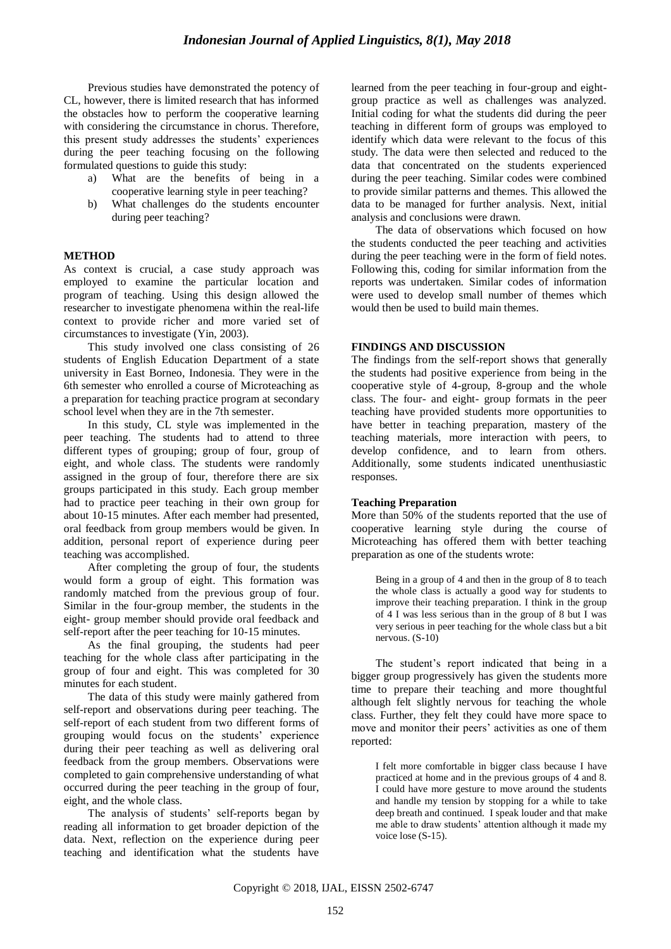Previous studies have demonstrated the potency of CL, however, there is limited research that has informed the obstacles how to perform the cooperative learning with considering the circumstance in chorus. Therefore, this present study addresses the students" experiences during the peer teaching focusing on the following formulated questions to guide this study:

- a) What are the benefits of being in a cooperative learning style in peer teaching?
- b) What challenges do the students encounter during peer teaching?

## **METHOD**

As context is crucial, a case study approach was employed to examine the particular location and program of teaching. Using this design allowed the researcher to investigate phenomena within the real-life context to provide richer and more varied set of circumstances to investigate (Yin, 2003).

This study involved one class consisting of 26 students of English Education Department of a state university in East Borneo, Indonesia. They were in the 6th semester who enrolled a course of Microteaching as a preparation for teaching practice program at secondary school level when they are in the 7th semester.

In this study, CL style was implemented in the peer teaching. The students had to attend to three different types of grouping; group of four, group of eight, and whole class. The students were randomly assigned in the group of four, therefore there are six groups participated in this study. Each group member had to practice peer teaching in their own group for about 10-15 minutes. After each member had presented, oral feedback from group members would be given. In addition, personal report of experience during peer teaching was accomplished.

After completing the group of four, the students would form a group of eight. This formation was randomly matched from the previous group of four. Similar in the four-group member, the students in the eight- group member should provide oral feedback and self-report after the peer teaching for 10-15 minutes.

As the final grouping, the students had peer teaching for the whole class after participating in the group of four and eight. This was completed for 30 minutes for each student.

The data of this study were mainly gathered from self-report and observations during peer teaching. The self-report of each student from two different forms of grouping would focus on the students" experience during their peer teaching as well as delivering oral feedback from the group members. Observations were completed to gain comprehensive understanding of what occurred during the peer teaching in the group of four, eight, and the whole class.

The analysis of students' self-reports began by reading all information to get broader depiction of the data. Next, reflection on the experience during peer teaching and identification what the students have learned from the peer teaching in four-group and eightgroup practice as well as challenges was analyzed. Initial coding for what the students did during the peer teaching in different form of groups was employed to identify which data were relevant to the focus of this study. The data were then selected and reduced to the data that concentrated on the students experienced during the peer teaching. Similar codes were combined to provide similar patterns and themes. This allowed the data to be managed for further analysis. Next, initial analysis and conclusions were drawn.

The data of observations which focused on how the students conducted the peer teaching and activities during the peer teaching were in the form of field notes. Following this, coding for similar information from the reports was undertaken. Similar codes of information were used to develop small number of themes which would then be used to build main themes.

## **FINDINGS AND DISCUSSION**

The findings from the self-report shows that generally the students had positive experience from being in the cooperative style of 4-group, 8-group and the whole class. The four- and eight- group formats in the peer teaching have provided students more opportunities to have better in teaching preparation, mastery of the teaching materials, more interaction with peers, to develop confidence, and to learn from others. Additionally, some students indicated unenthusiastic responses.

## **Teaching Preparation**

More than 50% of the students reported that the use of cooperative learning style during the course of Microteaching has offered them with better teaching preparation as one of the students wrote:

Being in a group of 4 and then in the group of 8 to teach the whole class is actually a good way for students to improve their teaching preparation. I think in the group of 4 I was less serious than in the group of 8 but I was very serious in peer teaching for the whole class but a bit nervous. (S-10)

The student"s report indicated that being in a bigger group progressively has given the students more time to prepare their teaching and more thoughtful although felt slightly nervous for teaching the whole class. Further, they felt they could have more space to move and monitor their peers' activities as one of them reported:

I felt more comfortable in bigger class because I have practiced at home and in the previous groups of 4 and 8. I could have more gesture to move around the students and handle my tension by stopping for a while to take deep breath and continued. I speak louder and that make me able to draw students" attention although it made my voice lose (S-15).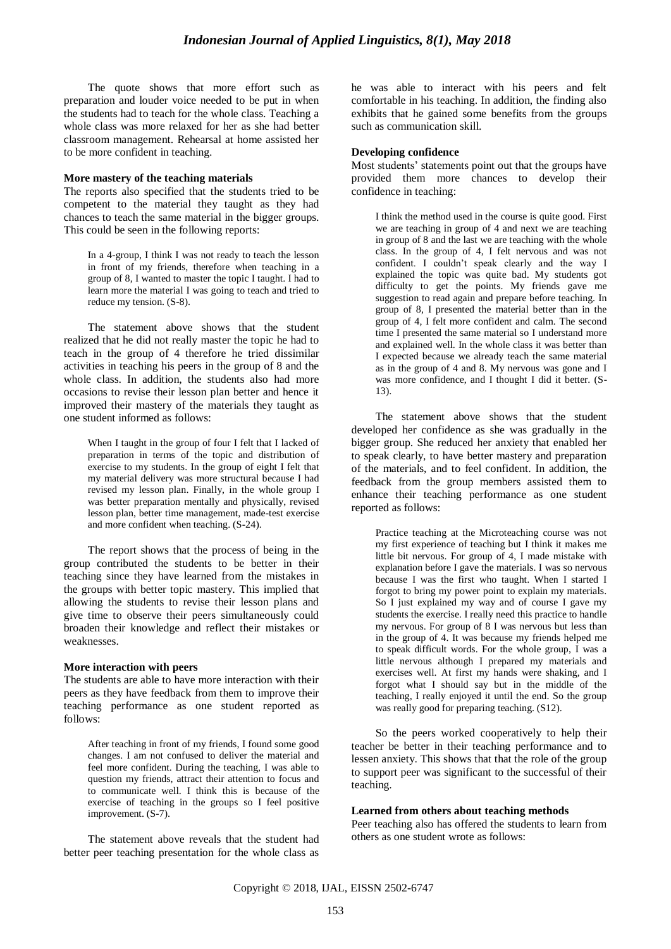The quote shows that more effort such as preparation and louder voice needed to be put in when the students had to teach for the whole class. Teaching a whole class was more relaxed for her as she had better classroom management. Rehearsal at home assisted her to be more confident in teaching.

#### **More mastery of the teaching materials**

The reports also specified that the students tried to be competent to the material they taught as they had chances to teach the same material in the bigger groups. This could be seen in the following reports:

In a 4-group, I think I was not ready to teach the lesson in front of my friends, therefore when teaching in a group of 8, I wanted to master the topic I taught. I had to learn more the material I was going to teach and tried to reduce my tension. (S-8).

The statement above shows that the student realized that he did not really master the topic he had to teach in the group of 4 therefore he tried dissimilar activities in teaching his peers in the group of 8 and the whole class. In addition, the students also had more occasions to revise their lesson plan better and hence it improved their mastery of the materials they taught as one student informed as follows:

When I taught in the group of four I felt that I lacked of preparation in terms of the topic and distribution of exercise to my students. In the group of eight I felt that my material delivery was more structural because I had revised my lesson plan. Finally, in the whole group I was better preparation mentally and physically, revised lesson plan, better time management, made-test exercise and more confident when teaching. (S-24).

The report shows that the process of being in the group contributed the students to be better in their teaching since they have learned from the mistakes in the groups with better topic mastery. This implied that allowing the students to revise their lesson plans and give time to observe their peers simultaneously could broaden their knowledge and reflect their mistakes or weaknesses.

#### **More interaction with peers**

The students are able to have more interaction with their peers as they have feedback from them to improve their teaching performance as one student reported as follows:

After teaching in front of my friends, I found some good changes. I am not confused to deliver the material and feel more confident. During the teaching, I was able to question my friends, attract their attention to focus and to communicate well. I think this is because of the exercise of teaching in the groups so I feel positive improvement. (S-7).

The statement above reveals that the student had better peer teaching presentation for the whole class as he was able to interact with his peers and felt comfortable in his teaching. In addition, the finding also exhibits that he gained some benefits from the groups such as communication skill.

## **Developing confidence**

Most students' statements point out that the groups have provided them more chances to develop their confidence in teaching:

I think the method used in the course is quite good. First we are teaching in group of 4 and next we are teaching in group of 8 and the last we are teaching with the whole class. In the group of 4, I felt nervous and was not confident. I couldn"t speak clearly and the way I explained the topic was quite bad. My students got difficulty to get the points. My friends gave me suggestion to read again and prepare before teaching. In group of 8, I presented the material better than in the group of 4, I felt more confident and calm. The second time I presented the same material so I understand more and explained well. In the whole class it was better than I expected because we already teach the same material as in the group of 4 and 8. My nervous was gone and I was more confidence, and I thought I did it better. (S-13).

The statement above shows that the student developed her confidence as she was gradually in the bigger group. She reduced her anxiety that enabled her to speak clearly, to have better mastery and preparation of the materials, and to feel confident. In addition, the feedback from the group members assisted them to enhance their teaching performance as one student reported as follows:

Practice teaching at the Microteaching course was not my first experience of teaching but I think it makes me little bit nervous. For group of 4, I made mistake with explanation before I gave the materials. I was so nervous because I was the first who taught. When I started I forgot to bring my power point to explain my materials. So I just explained my way and of course I gave my students the exercise. I really need this practice to handle my nervous. For group of 8 I was nervous but less than in the group of 4. It was because my friends helped me to speak difficult words. For the whole group, I was a little nervous although I prepared my materials and exercises well. At first my hands were shaking, and I forgot what I should say but in the middle of the teaching, I really enjoyed it until the end. So the group was really good for preparing teaching. (S12).

So the peers worked cooperatively to help their teacher be better in their teaching performance and to lessen anxiety. This shows that that the role of the group to support peer was significant to the successful of their teaching.

## **Learned from others about teaching methods**

Peer teaching also has offered the students to learn from others as one student wrote as follows: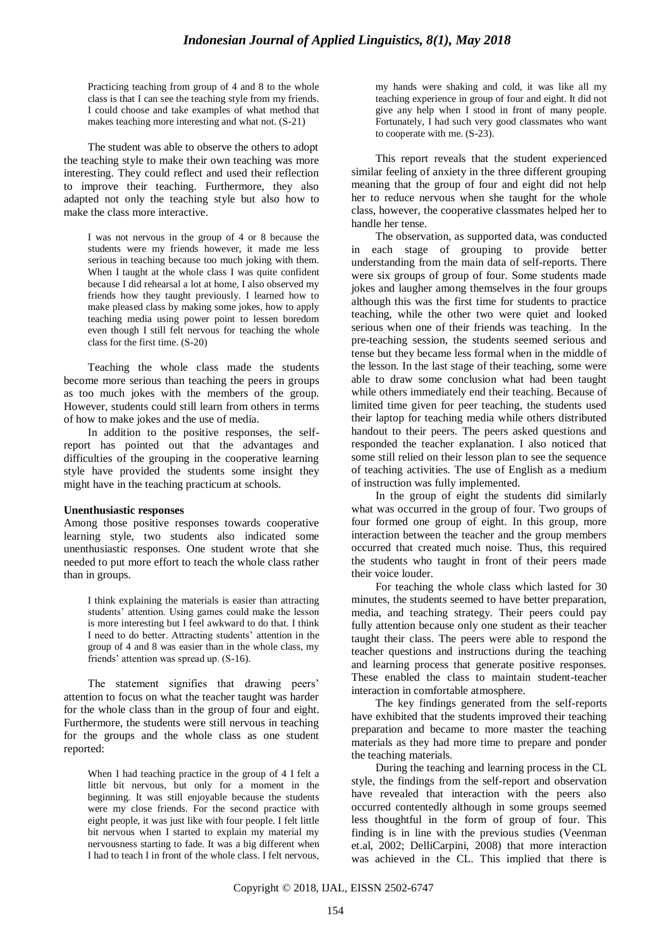Practicing teaching from group of 4 and 8 to the whole class is that I can see the teaching style from my friends. I could choose and take examples of what method that makes teaching more interesting and what not. (S-21)

The student was able to observe the others to adopt the teaching style to make their own teaching was more interesting. They could reflect and used their reflection to improve their teaching. Furthermore, they also adapted not only the teaching style but also how to make the class more interactive.

I was not nervous in the group of 4 or 8 because the students were my friends however, it made me less serious in teaching because too much joking with them. When I taught at the whole class I was quite confident because I did rehearsal a lot at home, I also observed my friends how they taught previously. I learned how to make pleased class by making some jokes, how to apply teaching media using power point to lessen boredom even though I still felt nervous for teaching the whole class for the first time. (S-20)

Teaching the whole class made the students become more serious than teaching the peers in groups as too much jokes with the members of the group. However, students could still learn from others in terms of how to make jokes and the use of media.

In addition to the positive responses, the selfreport has pointed out that the advantages and difficulties of the grouping in the cooperative learning style have provided the students some insight they might have in the teaching practicum at schools.

#### **Unenthusiastic responses**

Among those positive responses towards cooperative learning style, two students also indicated some unenthusiastic responses. One student wrote that she needed to put more effort to teach the whole class rather than in groups.

I think explaining the materials is easier than attracting students' attention. Using games could make the lesson is more interesting but I feel awkward to do that. I think I need to do better. Attracting students' attention in the group of 4 and 8 was easier than in the whole class, my friends" attention was spread up. (S-16).

The statement signifies that drawing peers' attention to focus on what the teacher taught was harder for the whole class than in the group of four and eight. Furthermore, the students were still nervous in teaching for the groups and the whole class as one student reported:

When I had teaching practice in the group of 4 I felt a little bit nervous, but only for a moment in the beginning. It was still enjoyable because the students were my close friends. For the second practice with eight people, it was just like with four people. I felt little bit nervous when I started to explain my material my nervousness starting to fade. It was a big different when I had to teach I in front of the whole class. I felt nervous, my hands were shaking and cold, it was like all my teaching experience in group of four and eight. It did not give any help when I stood in front of many people. Fortunately, I had such very good classmates who want to cooperate with me. (S-23).

This report reveals that the student experienced similar feeling of anxiety in the three different grouping meaning that the group of four and eight did not help her to reduce nervous when she taught for the whole class, however, the cooperative classmates helped her to handle her tense.

The observation, as supported data, was conducted in each stage of grouping to provide better understanding from the main data of self-reports. There were six groups of group of four. Some students made jokes and laugher among themselves in the four groups although this was the first time for students to practice teaching, while the other two were quiet and looked serious when one of their friends was teaching. In the pre-teaching session, the students seemed serious and tense but they became less formal when in the middle of the lesson. In the last stage of their teaching, some were able to draw some conclusion what had been taught while others immediately end their teaching. Because of limited time given for peer teaching, the students used their laptop for teaching media while others distributed handout to their peers. The peers asked questions and responded the teacher explanation. I also noticed that some still relied on their lesson plan to see the sequence of teaching activities. The use of English as a medium of instruction was fully implemented.

In the group of eight the students did similarly what was occurred in the group of four. Two groups of four formed one group of eight. In this group, more interaction between the teacher and the group members occurred that created much noise. Thus, this required the students who taught in front of their peers made their voice louder.

For teaching the whole class which lasted for 30 minutes, the students seemed to have better preparation, media, and teaching strategy. Their peers could pay fully attention because only one student as their teacher taught their class. The peers were able to respond the teacher questions and instructions during the teaching and learning process that generate positive responses. These enabled the class to maintain student-teacher interaction in comfortable atmosphere.

The key findings generated from the self-reports have exhibited that the students improved their teaching preparation and became to more master the teaching materials as they had more time to prepare and ponder the teaching materials.

During the teaching and learning process in the CL style, the findings from the self-report and observation have revealed that interaction with the peers also occurred contentedly although in some groups seemed less thoughtful in the form of group of four. This finding is in line with the previous studies (Veenman et.al, 2002; DelliCarpini, 2008) that more interaction was achieved in the CL. This implied that there is

Copyright © 2018, IJAL, EISSN [2502-6747](http://u.lipi.go.id/1435827202)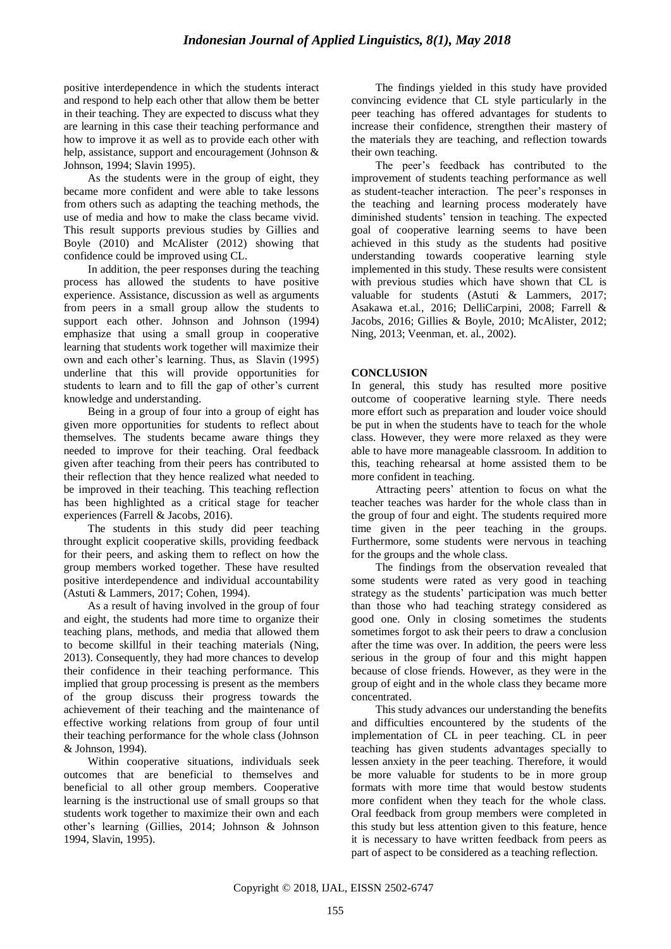positive interdependence in which the students interact and respond to help each other that allow them be better in their teaching. They are expected to discuss what they are learning in this case their teaching performance and how to improve it as well as to provide each other with help, assistance, support and encouragement (Johnson & Johnson, 1994; Slavin 1995).

As the students were in the group of eight, they became more confident and were able to take lessons from others such as adapting the teaching methods, the use of media and how to make the class became vivid. This result supports previous studies by Gillies and Boyle (2010) and McAlister (2012) showing that confidence could be improved using CL.

In addition, the peer responses during the teaching process has allowed the students to have positive experience. Assistance, discussion as well as arguments from peers in a small group allow the students to support each other. Johnson and Johnson (1994) emphasize that using a small group in cooperative learning that students work together will maximize their own and each other"s learning. Thus, as Slavin (1995) underline that this will provide opportunities for students to learn and to fill the gap of other's current knowledge and understanding.

Being in a group of four into a group of eight has given more opportunities for students to reflect about themselves. The students became aware things they needed to improve for their teaching. Oral feedback given after teaching from their peers has contributed to their reflection that they hence realized what needed to be improved in their teaching. This teaching reflection has been highlighted as a critical stage for teacher experiences (Farrell & Jacobs, 2016).

The students in this study did peer teaching throught explicit cooperative skills, providing feedback for their peers, and asking them to reflect on how the group members worked together. These have resulted positive interdependence and individual accountability (Astuti & Lammers, 2017; Cohen, 1994).

As a result of having involved in the group of four and eight, the students had more time to organize their teaching plans, methods, and media that allowed them to become skillful in their teaching materials (Ning, 2013). Consequently, they had more chances to develop their confidence in their teaching performance. This implied that group processing is present as the members of the group discuss their progress towards the achievement of their teaching and the maintenance of effective working relations from group of four until their teaching performance for the whole class (Johnson & Johnson, 1994).

Within cooperative situations, individuals seek outcomes that are beneficial to themselves and beneficial to all other group members. Cooperative learning is the instructional use of small groups so that students work together to maximize their own and each other"s learning (Gillies, 2014; Johnson & Johnson 1994, Slavin, 1995).

The findings yielded in this study have provided convincing evidence that CL style particularly in the peer teaching has offered advantages for students to increase their confidence, strengthen their mastery of the materials they are teaching, and reflection towards their own teaching.

The peer's feedback has contributed to the improvement of students teaching performance as well as student-teacher interaction. The peer"s responses in the teaching and learning process moderately have diminished students" tension in teaching. The expected goal of cooperative learning seems to have been achieved in this study as the students had positive understanding towards cooperative learning style implemented in this study. These results were consistent with previous studies which have shown that CL is valuable for students (Astuti & Lammers, 2017; Asakawa et.al., 2016; DelliCarpini, 2008; Farrell & Jacobs, 2016; Gillies & Boyle, 2010; McAlister, 2012; Ning, 2013; Veenman, et. al., 2002).

## **CONCLUSION**

In general, this study has resulted more positive outcome of cooperative learning style. There needs more effort such as preparation and louder voice should be put in when the students have to teach for the whole class. However, they were more relaxed as they were able to have more manageable classroom. In addition to this, teaching rehearsal at home assisted them to be more confident in teaching.

Attracting peers" attention to focus on what the teacher teaches was harder for the whole class than in the group of four and eight. The students required more time given in the peer teaching in the groups. Furthermore, some students were nervous in teaching for the groups and the whole class.

The findings from the observation revealed that some students were rated as very good in teaching strategy as the students' participation was much better than those who had teaching strategy considered as good one. Only in closing sometimes the students sometimes forgot to ask their peers to draw a conclusion after the time was over. In addition, the peers were less serious in the group of four and this might happen because of close friends. However, as they were in the group of eight and in the whole class they became more concentrated.

This study advances our understanding the benefits and difficulties encountered by the students of the implementation of CL in peer teaching. CL in peer teaching has given students advantages specially to lessen anxiety in the peer teaching. Therefore, it would be more valuable for students to be in more group formats with more time that would bestow students more confident when they teach for the whole class. Oral feedback from group members were completed in this study but less attention given to this feature, hence it is necessary to have written feedback from peers as part of aspect to be considered as a teaching reflection.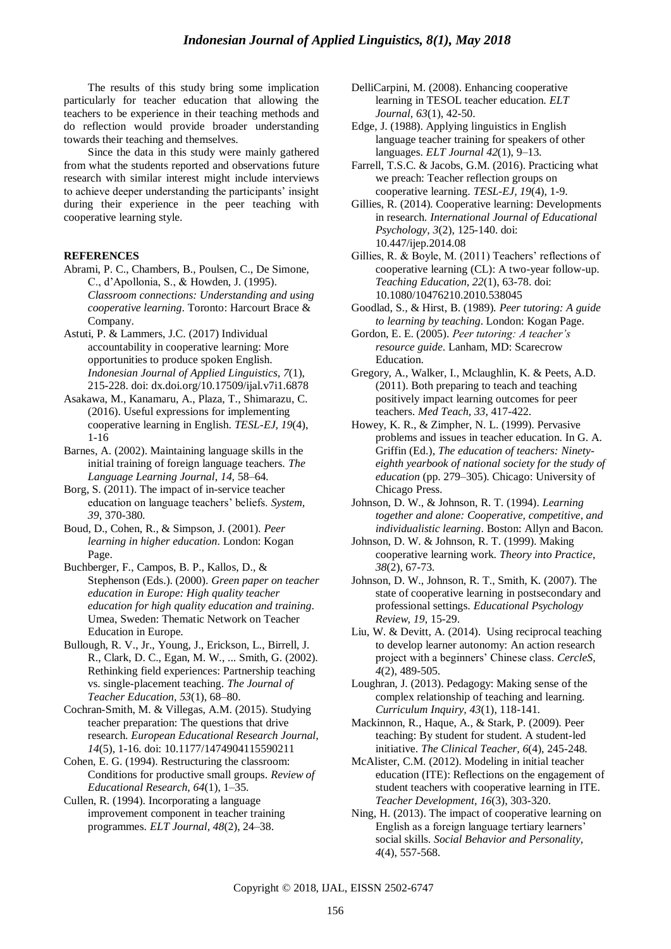The results of this study bring some implication particularly for teacher education that allowing the teachers to be experience in their teaching methods and do reflection would provide broader understanding towards their teaching and themselves.

Since the data in this study were mainly gathered from what the students reported and observations future research with similar interest might include interviews to achieve deeper understanding the participants' insight during their experience in the peer teaching with cooperative learning style.

#### **REFERENCES**

- Abrami, P. C., Chambers, B., Poulsen, C., De Simone, C., d"Apollonia, S., & Howden, J. (1995). *Classroom connections: Understanding and using cooperative learning*. Toronto: Harcourt Brace & Company.
- Astuti, P. & Lammers, J.C. (2017) Individual accountability in cooperative learning: More opportunities to produce spoken English. *Indonesian Journal of Applied Linguistics, 7*(1), 215-228. doi: dx.doi.org/10.17509/ijal.v7i1.6878
- Asakawa, M., Kanamaru, A., Plaza, T., Shimarazu, C. (2016). Useful expressions for implementing cooperative learning in English. *TESL-EJ, 19*(4), 1-16
- Barnes, A. (2002). Maintaining language skills in the initial training of foreign language teachers. *The Language Learning Journal, 14,* 58–64.
- Borg, S. (2011). The impact of in-service teacher education on language teachers" beliefs. *System, 39*, 370-380.
- Boud, D., Cohen, R., & Simpson, J. (2001). *Peer learning in higher education*. London: Kogan Page.
- Buchberger, F., Campos, B. P., Kallos, D., & Stephenson (Eds.). (2000). *Green paper on teacher education in Europe: High quality teacher education for high quality education and training*. Umea, Sweden: Thematic Network on Teacher Education in Europe.
- Bullough, R. V., Jr., Young, J., Erickson, L., Birrell, J. R., Clark, D. C., Egan, M. W., ... Smith, G. (2002). Rethinking field experiences: Partnership teaching vs. single-placement teaching. *The Journal of Teacher Education, 53*(1), 68–80.
- Cochran-Smith, M. & Villegas, A.M. (2015). Studying teacher preparation: The questions that drive research. *European Educational Research Journal, 14*(5), 1-16. doi: 10.1177/1474904115590211

Cohen, E. G. (1994). Restructuring the classroom: Conditions for productive small groups. *Review of Educational Research, 64*(1), 1–35.

Cullen, R. (1994). Incorporating a language improvement component in teacher training programmes. *ELT Journal, 48*(2), 24–38.

- DelliCarpini, M. (2008). Enhancing cooperative learning in TESOL teacher education. *ELT Journal, 63*(1), 42-50.
- Edge, J. (1988). Applying linguistics in English language teacher training for speakers of other languages. *ELT Journal 42*(1), 9–13.
- Farrell, T.S.C. & Jacobs, G.M. (2016). Practicing what we preach: Teacher reflection groups on cooperative learning. *TESL-EJ, 19*(4), 1-9.
- Gillies, R. (2014). Cooperative learning: Developments in research. *International Journal of Educational Psychology, 3*(2), 125-140. doi: 10.447/ijep.2014.08
- Gillies, R. & Boyle, M. (2011) Teachers' reflections of cooperative learning (CL): A two-year follow-up. *Teaching Education, 22*(1), 63-78. doi: 10.1080/10476210.2010.538045
- Goodlad, S., & Hirst, B. (1989). *Peer tutoring: A guide to learning by teaching*. London: Kogan Page.
- Gordon, E. E. (2005). *Peer tutoring: A teacher's resource guide*. Lanham, MD: Scarecrow Education.
- Gregory, A., Walker, I., Mclaughlin, K. & Peets, A.D. (2011). Both preparing to teach and teaching positively impact learning outcomes for peer teachers. *Med Teach, 33*, 417-422.
- Howey, K. R., & Zimpher, N. L. (1999). Pervasive problems and issues in teacher education. In G. A. Griffin (Ed.), *The education of teachers: Ninetyeighth yearbook of national society for the study of education* (pp. 279–305). Chicago: University of Chicago Press.
- Johnson, D. W., & Johnson, R. T. (1994). *Learning together and alone: Cooperative, competitive, and individualistic learning*. Boston: Allyn and Bacon.
- Johnson, D. W. & Johnson, R. T. (1999). Making cooperative learning work. *Theory into Practice*, *38*(2), 67-73.
- Johnson, D. W., Johnson, R. T., Smith, K. (2007). The state of cooperative learning in postsecondary and professional settings. *Educational Psychology Review, 19*, 15-29.
- Liu, W. & Devitt, A. (2014). Using reciprocal teaching to develop learner autonomy: An action research project with a beginners" Chinese class. *CercleS, 4*(2), 489-505.
- Loughran, J. (2013). Pedagogy: Making sense of the complex relationship of teaching and learning*. Curriculum Inquiry, 43*(1), 118-141.
- Mackinnon, R., Haque, A., & Stark, P. (2009). Peer teaching: By student for student. A student-led initiative. *The Clinical Teacher, 6*(4), 245-248.
- McAlister, C.M. (2012). Modeling in initial teacher education (ITE): Reflections on the engagement of student teachers with cooperative learning in ITE. *Teacher Development, 16*(3), 303-320.
- Ning, H. (2013). The impact of cooperative learning on English as a foreign language tertiary learners" social skills. *Social Behavior and Personality, 4*(4), 557-568.

Copyright © 2018, IJAL, EISSN [2502-6747](http://u.lipi.go.id/1435827202)